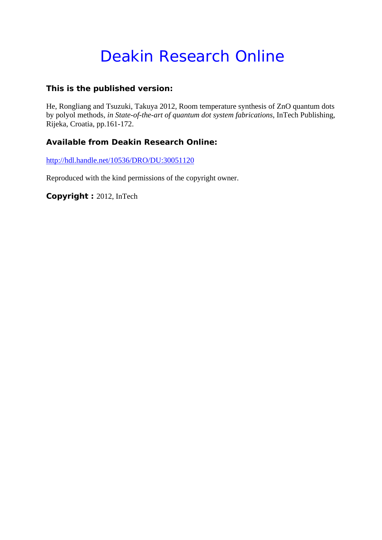# Deakin Research Online

### **This is the published version:**

He, Rongliang and Tsuzuki, Takuya 2012, Room temperature synthesis of ZnO quantum dots by polyol methods*, in State-of-the-art of quantum dot system fabrications*, InTech Publishing, Rijeka, Croatia, pp.161-172.

### **Available from Deakin Research Online:**

http://hdl.handle.net/10536/DRO/DU:30051120

Reproduced with the kind permissions of the copyright owner.

**Copyright :** 2012, InTech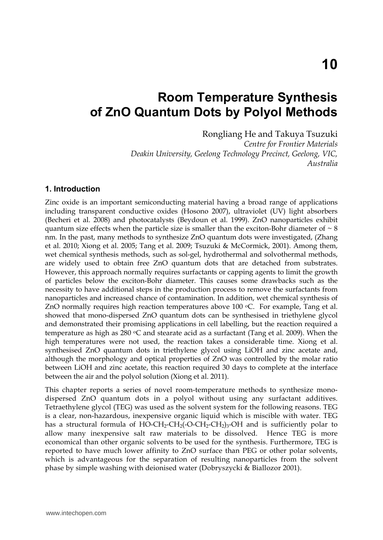## **Room Temperature Synthesis of ZnO Quantum Dots by Polyol Methods**

Rongliang He and Takuya Tsuzuki *Centre for Frontier Materials Deakin University, Geelong Technology Precinct, Geelong, VIC, Australia* 

#### **1. Introduction**

Zinc oxide is an important semiconducting material having a broad range of applications including transparent conductive oxides (Hosono 2007), ultraviolet (UV) light absorbers (Becheri et al. 2008) and photocatalysts (Beydoun et al. 1999). ZnO nanoparticles exhibit quantum size effects when the particle size is smaller than the exciton-Bohr diameter of  $\sim 8$ nm. In the past, many methods to synthesize ZnO quantum dots were investigated, (Zhang et al. 2010; Xiong et al. 2005; Tang et al. 2009; Tsuzuki & McCormick, 2001). Among them, wet chemical synthesis methods, such as sol-gel, hydrothermal and solvothermal methods, are widely used to obtain free ZnO quantum dots that are detached from substrates. However, this approach normally requires surfactants or capping agents to limit the growth of particles below the exciton-Bohr diameter. This causes some drawbacks such as the necessity to have additional steps in the production process to remove the surfactants from nanoparticles and increased chance of contamination. In addition, wet chemical synthesis of ZnO normally requires high reaction temperatures above 100 °C. For example, Tang et al. showed that mono-dispersed ZnO quantum dots can be synthesised in triethylene glycol and demonstrated their promising applications in cell labelling, but the reaction required a temperature as high as  $280 \text{ °C}$  and stearate acid as a surfactant (Tang et al. 2009). When the high temperatures were not used, the reaction takes a considerable time. Xiong et al. synthesised ZnO quantum dots in triethylene glycol using LiOH and zinc acetate and, although the morphology and optical properties of ZnO was controlled by the molar ratio between LiOH and zinc acetate, this reaction required 30 days to complete at the interface between the air and the polyol solution (Xiong et al. 2011).

This chapter reports a series of novel room-temperature methods to synthesize monodispersed ZnO quantum dots in a polyol without using any surfactant additives. Tetraethylene glycol (TEG) was used as the solvent system for the following reasons. TEG is a clear, non-hazardous, inexpensive organic liquid which is miscible with water. TEG has a structural formula of  $H\overline{O}-CH_2-CH_2(-O-CH_2-CH_2)$ <sub>3</sub>-OH and is sufficiently polar to allow many inexpensive salt raw materials to be dissolved. Hence TEG is more economical than other organic solvents to be used for the synthesis. Furthermore, TEG is reported to have much lower affinity to ZnO surface than PEG or other polar solvents, which is advantageous for the separation of resulting nanoparticles from the solvent phase by simple washing with deionised water (Dobryszycki & Biallozor 2001).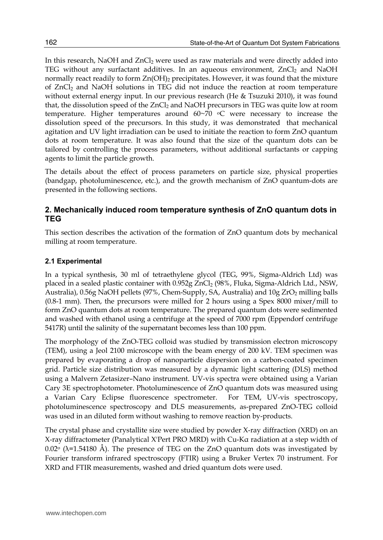In this research, NaOH and  $ZnCl<sub>2</sub>$  were used as raw materials and were directly added into TEG without any surfactant additives. In an aqueous environment,  $ZnCl<sub>2</sub>$  and NaOH normally react readily to form  $Zn(OH)_2$  precipitates. However, it was found that the mixture of ZnCl<sub>2</sub> and NaOH solutions in TEG did not induce the reaction at room temperature without external energy input. In our previous research (He & Tsuzuki 2010), it was found that, the dissolution speed of the ZnCl<sub>2</sub> and NaOH precursors in TEG was quite low at room temperature. Higher temperatures around 60~70 oC were necessary to increase the dissolution speed of the precursors. In this study, it was demonstrated that mechanical agitation and UV light irradiation can be used to initiate the reaction to form ZnO quantum dots at room temperature. It was also found that the size of the quantum dots can be tailored by controlling the process parameters, without additional surfactants or capping agents to limit the particle growth.

The details about the effect of process parameters on particle size, physical properties (bandgap, photoluminescence, etc.), and the growth mechanism of ZnO quantum-dots are presented in the following sections.

#### **2. Mechanically induced room temperature synthesis of ZnO quantum dots in TEG**

This section describes the activation of the formation of ZnO quantum dots by mechanical milling at room temperature.

#### **2.1 Experimental**

In a typical synthesis, 30 ml of tetraethylene glycol (TEG, 99%, Sigma-Aldrich Ltd) was placed in a sealed plastic container with 0.952g ZnCl<sub>2</sub> (98%, Fluka, Sigma-Aldrich Ltd., NSW, Australia), 0.56g NaOH pellets (97%, Chem-Supply, SA, Australia) and 10g ZrO<sub>2</sub> milling balls (0.8-1 mm). Then, the precursors were milled for 2 hours using a Spex 8000 mixer/mill to form ZnO quantum dots at room temperature. The prepared quantum dots were sedimented and washed with ethanol using a centrifuge at the speed of 7000 rpm (Eppendorf centrifuge 5417R) until the salinity of the supernatant becomes less than 100 ppm.

The morphology of the ZnO-TEG colloid was studied by transmission electron microscopy (TEM), using a Jeol 2100 microscope with the beam energy of 200 kV. TEM specimen was prepared by evaporating a drop of nanoparticle dispersion on a carbon-coated specimen grid. Particle size distribution was measured by a dynamic light scattering (DLS) method using a Malvern Zetasizer–Nano instrument. UV-vis spectra were obtained using a Varian Cary 3E spectrophotometer. Photoluminescence of ZnO quantum dots was measured using a Varian Cary Eclipse fluorescence spectrometer. For TEM, UV-vis spectroscopy, photoluminescence spectroscopy and DLS measurements, as-prepared ZnO-TEG colloid was used in an diluted form without washing to remove reaction by-products.

The crystal phase and crystallite size were studied by powder X-ray diffraction (XRD) on an X-ray diffractometer (Panalytical X'Pert PRO MRD) with Cu-Kα radiation at a step width of  $0.02^{\circ}$  ( $\lambda$ =1.54180 Å). The presence of TEG on the ZnO quantum dots was investigated by Fourier transform infrared spectroscopy (FTIR) using a Bruker Vertex 70 instrument. For XRD and FTIR measurements, washed and dried quantum dots were used.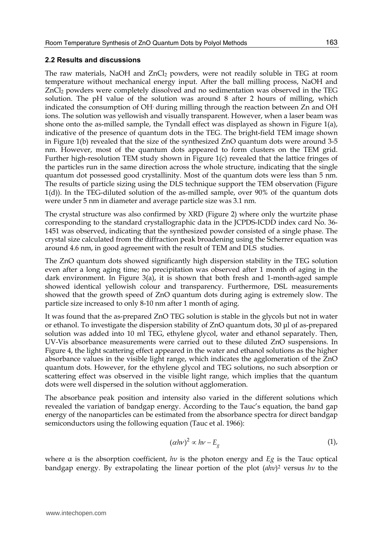#### **2.2 Results and discussions**

The raw materials, NaOH and ZnCl<sub>2</sub> powders, were not readily soluble in TEG at room temperature without mechanical energy input. After the ball milling process, NaOH and ZnCl<sub>2</sub> powders were completely dissolved and no sedimentation was observed in the TEG solution. The pH value of the solution was around 8 after 2 hours of milling, which indicated the consumption of OH- during milling through the reaction between Zn and OH ions. The solution was yellowish and visually transparent. However, when a laser beam was shone onto the as-milled sample, the Tyndall effect was displayed as shown in Figure 1(a), indicative of the presence of quantum dots in the TEG. The bright-field TEM image shown in Figure 1(b) revealed that the size of the synthesized ZnO quantum dots were around 3-5 nm. However, most of the quantum dots appeared to form clusters on the TEM grid. Further high-resolution TEM study shown in Figure 1(c) revealed that the lattice fringes of the particles run in the same direction across the whole structure, indicating that the single quantum dot possessed good crystallinity. Most of the quantum dots were less than 5 nm. The results of particle sizing using the DLS technique support the TEM observation (Figure 1(d)). In the TEG-diluted solution of the as-milled sample, over 90% of the quantum dots were under 5 nm in diameter and average particle size was 3.1 nm.

The crystal structure was also confirmed by XRD (Figure 2) where only the wurtzite phase corresponding to the standard crystallographic data in the JCPDS-ICDD index card No. 36- 1451 was observed, indicating that the synthesized powder consisted of a single phase. The crystal size calculated from the diffraction peak broadening using the Scherrer equation was around 4.6 nm, in good agreement with the result of TEM and DLS studies.

The ZnO quantum dots showed significantly high dispersion stability in the TEG solution even after a long aging time; no precipitation was observed after 1 month of aging in the dark environment. In Figure 3(a), it is shown that both fresh and 1-month-aged sample showed identical yellowish colour and transparency. Furthermore, DSL measurements showed that the growth speed of ZnO quantum dots during aging is extremely slow. The particle size increased to only 8-10 nm after 1 month of aging.

It was found that the as-prepared ZnO TEG solution is stable in the glycols but not in water or ethanol. To investigate the dispersion stability of  $ZnO$  quantum dots, 30  $\mu$ l of as-prepared solution was added into 10 ml TEG, ethylene glycol, water and ethanol separately. Then, UV-Vis absorbance measurements were carried out to these diluted ZnO suspensions. In Figure 4, the light scattering effect appeared in the water and ethanol solutions as the higher absorbance values in the visible light range, which indicates the agglomeration of the ZnO quantum dots. However, for the ethylene glycol and TEG solutions, no such absorption or scattering effect was observed in the visible light range, which implies that the quantum dots were well dispersed in the solution without agglomeration.

The absorbance peak position and intensity also varied in the different solutions which revealed the variation of bandgap energy. According to the Tauc's equation, the band gap energy of the nanoparticles can be estimated from the absorbance spectra for direct bandgap semiconductors using the following equation (Tauc et al. 1966):

$$
(\alpha h\nu)^2 \propto h\nu - E_g \tag{1},
$$

where α is the absorption coefficient, *hν* is the photon energy and *Eg* is the Tauc optical bandgap energy. By extrapolating the linear portion of the plot (*αhν*) <sup>2</sup> versus *hν* to the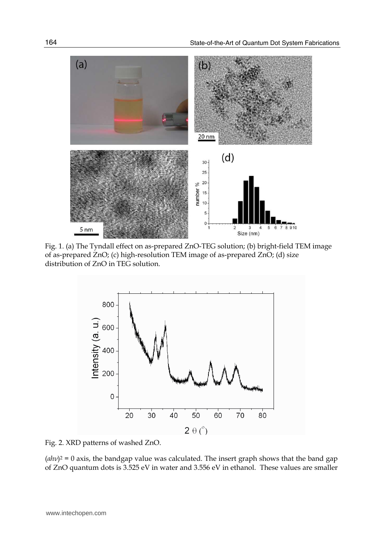

Fig. 1. (a) The Tyndall effect on as-prepared ZnO-TEG solution; (b) bright-field TEM image of as-prepared ZnO; (c) high-resolution TEM image of as-prepared ZnO; (d) size distribution of ZnO in TEG solution.



Fig. 2. XRD patterns of washed ZnO.

 $(ahv)^2 = 0$  axis, the bandgap value was calculated. The insert graph shows that the band gap of ZnO quantum dots is 3.525 eV in water and 3.556 eV in ethanol. These values are smaller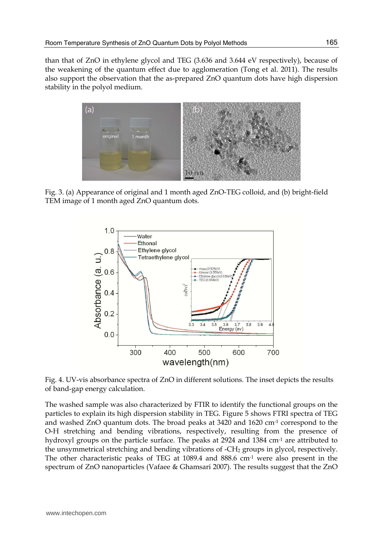than that of ZnO in ethylene glycol and TEG (3.636 and 3.644 eV respectively), because of the weakening of the quantum effect due to agglomeration (Tong et al. 2011). The results also support the observation that the as-prepared ZnO quantum dots have high dispersion stability in the polyol medium.



Fig. 3. (a) Appearance of original and 1 month aged ZnO-TEG colloid, and (b) bright-field TEM image of 1 month aged ZnO quantum dots.



Fig. 4. UV-vis absorbance spectra of ZnO in different solutions. The inset depicts the results of band-gap energy calculation.

The washed sample was also characterized by FTIR to identify the functional groups on the particles to explain its high dispersion stability in TEG. Figure 5 shows FTRI spectra of TEG and washed ZnO quantum dots. The broad peaks at 3420 and 1620 cm-1 correspond to the O-H stretching and bending vibrations, respectively, resulting from the presence of hydroxyl groups on the particle surface. The peaks at 2924 and 1384 cm-1 are attributed to the unsymmetrical stretching and bending vibrations of  $-CH<sub>2</sub>$  groups in glycol, respectively. The other characteristic peaks of TEG at  $1089.4$  and  $888.6$  cm<sup>-1</sup> were also present in the spectrum of ZnO nanoparticles (Vafaee & Ghamsari 2007). The results suggest that the ZnO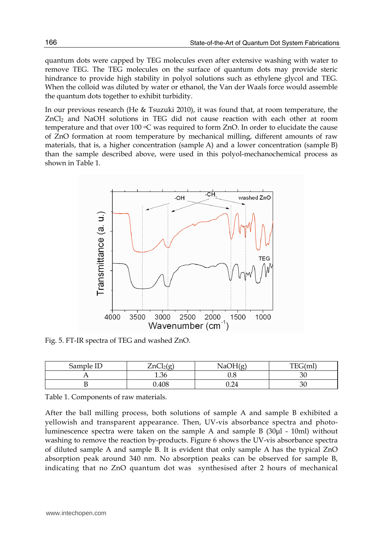quantum dots were capped by TEG molecules even after extensive washing with water to remove TEG. The TEG molecules on the surface of quantum dots may provide steric hindrance to provide high stability in polyol solutions such as ethylene glycol and TEG. When the colloid was diluted by water or ethanol, the Van der Waals force would assemble the quantum dots together to exhibit turbidity.

In our previous research (He & Tsuzuki 2010), it was found that, at room temperature, the  $ZnCl<sub>2</sub>$  and NaOH solutions in TEG did not cause reaction with each other at room temperature and that over  $100 °C$  was required to form ZnO. In order to elucidate the cause of ZnO formation at room temperature by mechanical milling, different amounts of raw materials, that is, a higher concentration (sample A) and a lower concentration (sample B) than the sample described above, were used in this polyol-mechanochemical process as shown in Table 1.



Fig. 5. FT-IR spectra of TEG and washed ZnO.

| Sample ID | $\sim$<br>$\mathbf{r}$ | $N_A$ OH <sup><math>\sim</math></sup> | TEG(m) |
|-----------|------------------------|---------------------------------------|--------|
|           | 1.36                   | $_{\rm 0.8}$                          | ÏU     |
| ້         | 0.408                  | 0.24                                  | 3U     |

Table 1. Components of raw materials.

After the ball milling process, both solutions of sample A and sample B exhibited a yellowish and transparent appearance. Then, UV-vis absorbance spectra and photoluminescence spectra were taken on the sample A and sample B  $(30µl - 10ml)$  without washing to remove the reaction by-products. Figure 6 shows the UV-vis absorbance spectra of diluted sample A and sample B. It is evident that only sample A has the typical ZnO absorption peak around 340 nm. No absorption peaks can be observed for sample B, indicating that no ZnO quantum dot was synthesised after 2 hours of mechanical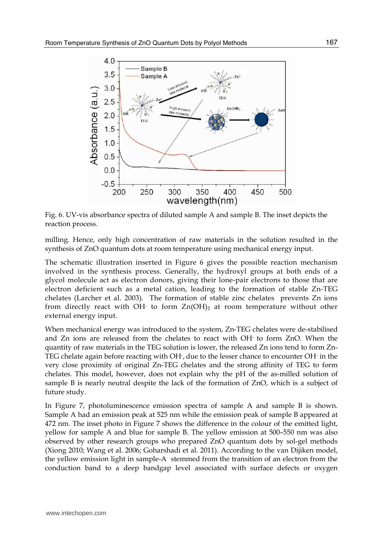

Fig. 6. UV-vis absorbance spectra of diluted sample A and sample B. The inset depicts the reaction process.

milling. Hence, only high concentration of raw materials in the solution resulted in the synthesis of ZnO quantum dots at room temperature using mechanical energy input.

The schematic illustration inserted in Figure 6 gives the possible reaction mechanism involved in the synthesis process. Generally, the hydroxyl groups at both ends of a glycol molecule act as electron donors, giving their lone-pair electrons to those that are electron deficient such as a metal cation, leading to the formation of stable Zn-TEG chelates (Larcher et al. 2003). The formation of stable zinc chelates prevents Zn ions from directly react with OH $\cdot$  to form  $Zn(OH)_2$  at room temperature without other external energy input.

When mechanical energy was introduced to the system, Zn-TEG chelates were de-stabilised and Zn ions are released from the chelates to react with OH- to form ZnO. When the quantity of raw materials in the TEG solution is lower, the released Zn ions tend to form Zn-TEG chelate again before reacting with OH- , due to the lesser chance to encounter OH- in the very close proximity of original Zn-TEG chelates and the strong affinity of TEG to form chelates. This model, however, does not explain why the pH of the as-milled solution of sample B is nearly neutral despite the lack of the formation of ZnO, which is a subject of future study.

In Figure 7, photoluminescence emission spectra of sample A and sample B is shown. Sample A had an emission peak at 525 nm while the emission peak of sample B appeared at 472 nm. The inset photo in Figure 7 shows the difference in the colour of the emitted light, yellow for sample A and blue for sample B. The yellow emission at 500–550 nm was also observed by other research groups who prepared ZnO quantum dots by sol-gel methods (Xiong 2010; Wang et al. 2006; Goharshadi et al. 2011). According to the van Dijiken model, the yellow emission light in sample-A stemmed from the transition of an electron from the conduction band to a deep bandgap level associated with surface defects or oxygen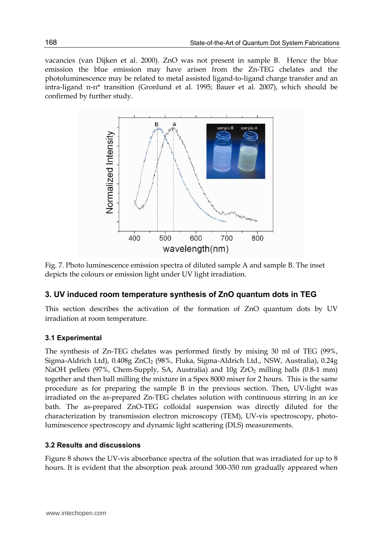vacancies (van Dijken et al. 2000). ZnO was not present in sample B. Hence the blue emission the blue emission may have arisen from the Zn-TEG chelates and the photoluminescence may be related to metal assisted ligand-to-ligand charge transfer and an intra-ligand π-π\* transition (Gronlund et al. 1995; Bauer et al. 2007), which should be confirmed by further study.



Fig. 7. Photo luminescence emission spectra of diluted sample A and sample B. The inset depicts the colours or emission light under UV light irradiation.

#### **3. UV induced room temperature synthesis of ZnO quantum dots in TEG**

This section describes the activation of the formation of ZnO quantum dots by UV irradiation at room temperature.

#### **3.1 Experimental**

The synthesis of Zn-TEG chelates was performed firstly by mixing 30 ml of TEG (99%, Sigma-Aldrich Ltd), 0.408g ZnCl2 (98%, Fluka, Sigma-Aldrich Ltd., NSW, Australia), 0.24g NaOH pellets (97%, Chem-Supply, SA, Australia) and 10g ZrO<sub>2</sub> milling balls (0.8-1 mm) together and then ball milling the mixture in a Spex 8000 mixer for 2 hours. This is the same procedure as for preparing the sample B in the previous section. Then, UV-light was irradiated on the as-prepared Zn-TEG chelates solution with continuous stirring in an ice bath. The as-prepared ZnO-TEG colloidal suspension was directly diluted for the characterization by transmission electron microscopy (TEM), UV-vis spectroscopy, photoluminescence spectroscopy and dynamic light scattering (DLS) measurements.

#### **3.2 Results and discussions**

Figure 8 shows the UV-vis absorbance spectra of the solution that was irradiated for up to 8 hours. It is evident that the absorption peak around 300-350 nm gradually appeared when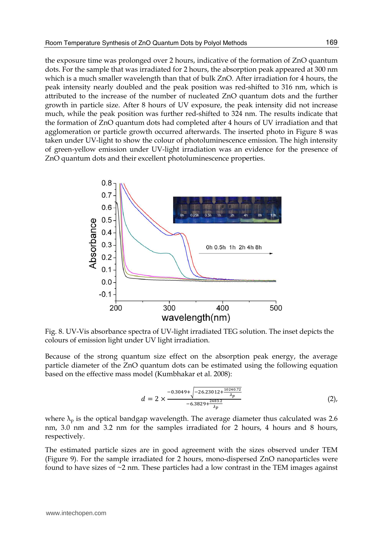the exposure time was prolonged over 2 hours, indicative of the formation of ZnO quantum dots. For the sample that was irradiated for 2 hours, the absorption peak appeared at 300 nm which is a much smaller wavelength than that of bulk ZnO. After irradiation for 4 hours, the peak intensity nearly doubled and the peak position was red-shifted to 316 nm, which is attributed to the increase of the number of nucleated ZnO quantum dots and the further growth in particle size. After 8 hours of UV exposure, the peak intensity did not increase much, while the peak position was further red-shifted to 324 nm. The results indicate that the formation of ZnO quantum dots had completed after 4 hours of UV irradiation and that agglomeration or particle growth occurred afterwards. The inserted photo in Figure 8 was taken under UV-light to show the colour of photoluminescence emission. The high intensity of green-yellow emission under UV-light irradiation was an evidence for the presence of ZnO quantum dots and their excellent photoluminescence properties.



Fig. 8. UV-Vis absorbance spectra of UV-light irradiated TEG solution. The inset depicts the colours of emission light under UV light irradiation.

Because of the strong quantum size effect on the absorption peak energy, the average particle diameter of the ZnO quantum dots can be estimated using the following equation based on the effective mass model (Kumbhakar et al. 2008):

$$
d = 2 \times \frac{-0.3049 + \sqrt{-26.23012 + \frac{10240.72}{\lambda_p}}}{-6.3829 + \frac{2483.2}{\lambda_p}}
$$
 (2),

where  $\lambda_p$  is the optical bandgap wavelength. The average diameter thus calculated was 2.6 nm, 3.0 nm and 3.2 nm for the samples irradiated for 2 hours, 4 hours and 8 hours, respectively.

The estimated particle sizes are in good agreement with the sizes observed under TEM (Figure 9). For the sample irradiated for 2 hours, mono-dispersed ZnO nanoparticles were found to have sizes of  $\sim$ 2 nm. These particles had a low contrast in the TEM images against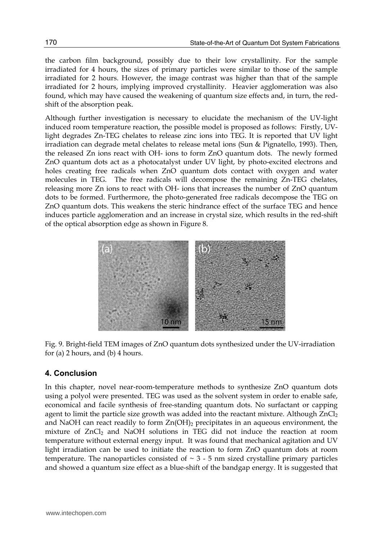the carbon film background, possibly due to their low crystallinity. For the sample irradiated for 4 hours, the sizes of primary particles were similar to those of the sample irradiated for 2 hours. However, the image contrast was higher than that of the sample irradiated for 2 hours, implying improved crystallinity. Heavier agglomeration was also found, which may have caused the weakening of quantum size effects and, in turn, the redshift of the absorption peak.

Although further investigation is necessary to elucidate the mechanism of the UV-light induced room temperature reaction, the possible model is proposed as follows: Firstly, UVlight degrades Zn-TEG chelates to release zinc ions into TEG. It is reported that UV light irradiation can degrade metal chelates to release metal ions (Sun & Pignatello, 1993). Then, the released Zn ions react with OH- ions to form ZnO quantum dots. The newly formed ZnO quantum dots act as a photocatalyst under UV light, by photo-excited electrons and holes creating free radicals when ZnO quantum dots contact with oxygen and water molecules in TEG. The free radicals will decompose the remaining Zn-TEG chelates, releasing more Zn ions to react with OH- ions that increases the number of ZnO quantum dots to be formed. Furthermore, the photo-generated free radicals decompose the TEG on ZnO quantum dots. This weakens the steric hindrance effect of the surface TEG and hence induces particle agglomeration and an increase in crystal size, which results in the red-shift of the optical absorption edge as shown in Figure 8.



Fig. 9. Bright-field TEM images of ZnO quantum dots synthesized under the UV-irradiation for (a) 2 hours, and (b) 4 hours.

#### **4. Conclusion**

In this chapter, novel near-room-temperature methods to synthesize ZnO quantum dots using a polyol were presented. TEG was used as the solvent system in order to enable safe, economical and facile synthesis of free-standing quantum dots. No surfactant or capping agent to limit the particle size growth was added into the reactant mixture. Although  $ZnCl<sub>2</sub>$ and NaOH can react readily to form  $Zn(OH)_2$  precipitates in an aqueous environment, the mixture of ZnCl2 and NaOH solutions in TEG did not induce the reaction at room temperature without external energy input. It was found that mechanical agitation and UV light irradiation can be used to initiate the reaction to form ZnO quantum dots at room temperature. The nanoparticles consisted of  $\sim$  3 - 5 nm sized crystalline primary particles and showed a quantum size effect as a blue-shift of the bandgap energy. It is suggested that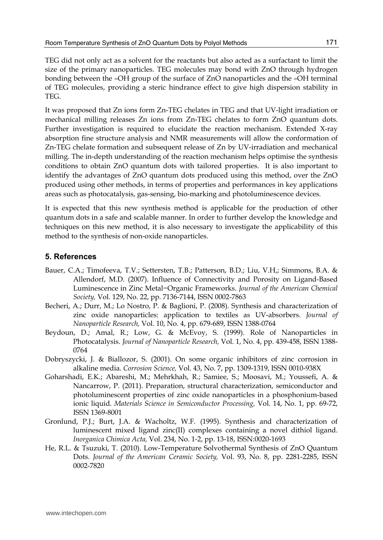TEG did not only act as a solvent for the reactants but also acted as a surfactant to limit the size of the primary nanoparticles. TEG molecules may bond with ZnO through hydrogen bonding between the –OH group of the surface of ZnO nanoparticles and the –OH terminal of TEG molecules, providing a steric hindrance effect to give high dispersion stability in TEG.

It was proposed that Zn ions form Zn-TEG chelates in TEG and that UV-light irradiation or mechanical milling releases Zn ions from Zn-TEG chelates to form ZnO quantum dots. Further investigation is required to elucidate the reaction mechanism. Extended X-ray absorption fine structure analysis and NMR measurements will allow the conformation of Zn-TEG chelate formation and subsequent release of Zn by UV-irradiation and mechanical milling. The in-depth understanding of the reaction mechanism helps optimise the synthesis conditions to obtain ZnO quantum dots with tailored properties. It is also important to identify the advantages of ZnO quantum dots produced using this method, over the ZnO produced using other methods, in terms of properties and performances in key applications areas such as photocatalysis, gas-sensing, bio-marking and photoluminescence devices.

It is expected that this new synthesis method is applicable for the production of other quantum dots in a safe and scalable manner. In order to further develop the knowledge and techniques on this new method, it is also necessary to investigate the applicability of this method to the synthesis of non-oxide nanoparticles.

#### **5. References**

- Bauer, C.A.; Timofeeva, T.V.; Settersten, T.B.; Patterson, B.D.; Liu, V.H,; Simmons, B.A. & Allendorf, M.D. (2007). Influence of Connectivity and Porosity on Ligand-Based Luminescence in Zinc Metal−Organic Frameworks. *Journal of the American Chemical Society,* Vol. 129, No. 22, pp. 7136-7144, ISSN 0002-7863
- Becheri, A.; Durr, M.; Lo Nostro, P. & Baglioni, P. (2008). Synthesis and characterization of zinc oxide nanoparticles: application to textiles as UV-absorbers. *Journal of Nanoparticle Research,* Vol. 10, No. 4, pp. 679-689, ISSN 1388-0764
- Beydoun, D.; Amal, R.; Low, G. & McEvoy, S. (1999). Role of Nanoparticles in Photocatalysis. *Journal of Nanoparticle Research,* Vol. 1, No. 4, pp. 439-458, ISSN 1388- 0764
- Dobryszycki, J. & Biallozor, S. (2001). On some organic inhibitors of zinc corrosion in alkaline media. *Corrosion Science,* Vol. 43, No. 7, pp. 1309-1319, ISSN 0010-938X
- Goharshadi, E.K.; Abareshi, M.; Mehrkhah, R.; Samiee, S.; Moosavi, M.; Youssefi, A. & Nancarrow, P. (2011). Preparation, structural characterization, semiconductor and photoluminescent properties of zinc oxide nanoparticles in a phosphonium-based ionic liquid. *Materials Science in Semiconductor Processing,* Vol. 14, No. 1, pp. 69-72, ISSN 1369-8001
- Gronlund, P.J.; Burt, J.A. & Wacholtz, W.F. (1995). Synthesis and characterization of luminescent mixed ligand zinc(II) complexes containing a novel dithiol ligand. *Inorganica Chimica Acta,* Vol. 234, No. 1-2, pp. 13-18, ISSN:0020-1693
- He, R.L. & Tsuzuki, T. (2010). Low-Temperature Solvothermal Synthesis of ZnO Quantum Dots. *Journal of the American Ceramic Society,* Vol. 93, No. 8, pp. 2281-2285, ISSN 0002-7820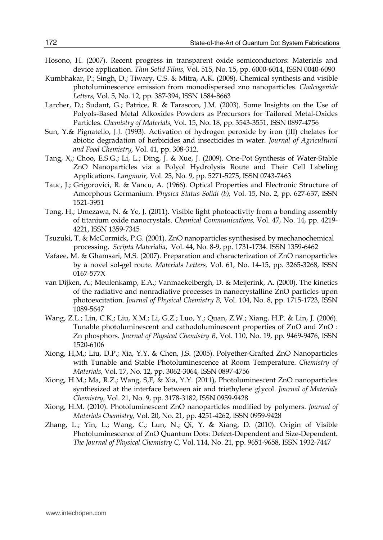- Hosono, H. (2007). Recent progress in transparent oxide semiconductors: Materials and device application. *Thin Solid Films,* Vol. 515, No. 15, pp. 6000-6014, ISSN 0040-6090
- Kumbhakar, P.; Singh, D.; Tiwary, C.S. & Mitra, A.K. (2008). Chemical synthesis and visible photoluminescence emission from monodispersed zno nanoparticles. *Chalcogenide Letters,* Vol. 5, No. 12, pp. 387-394, ISSN 1584-8663
- Larcher, D.; Sudant, G.; Patrice, R. & Tarascon, J.M. (2003). Some Insights on the Use of Polyols-Based Metal Alkoxides Powders as Precursors for Tailored Metal-Oxides Particles. *Chemistry of Materials,* Vol. 15, No. 18, pp. 3543-3551, ISSN 0897-4756
- Sun, Y.& Pignatello, J.J. (1993). Activation of hydrogen peroxide by iron (III) chelates for abiotic degradation of herbicides and insecticides in water. *Journal of Agricultural and Food Chemistry,* Vol. 41, pp. 308-312.
- Tang, X,; Choo, E.S.G.; Li, L.; Ding, J. & Xue, J. (2009). One-Pot Synthesis of Water-Stable ZnO Nanoparticles via a Polyol Hydrolysis Route and Their Cell Labeling Applications. *Langmuir,* Vol. 25, No. 9, pp. 5271-5275, ISSN 0743-7463
- Tauc, J.; Grigorovici, R. & Vancu, A. (1966). Optical Properties and Electronic Structure of Amorphous Germanium. P*hysica Status Solidi (b),* Vol. 15, No. 2, pp. 627-637, ISSN 1521-3951
- Tong, H.; Umezawa, N. & Ye, J. (2011). Visible light photoactivity from a bonding assembly of titanium oxide nanocrystals. *Chemical Communications,* Vol. 47, No. 14, pp. 4219- 4221, ISSN 1359-7345
- Tsuzuki, T. & McCormick, P.G. (2001). ZnO nanoparticles synthesised by mechanochemical processing, *Scripta Materialia*, Vol. 44, No. 8-9, pp. 1731-1734. ISSN 1359-6462
- Vafaee, M. & Ghamsari, M.S. (2007). Preparation and characterization of ZnO nanoparticles by a novel sol-gel route. *Materials Letters,* Vol. 61, No. 14-15, pp. 3265-3268, ISSN 0167-577X
- van Dijken, A.; Meulenkamp, E.A.; Vanmaekelbergh, D. & Meijerink, A. (2000). The kinetics of the radiative and nonradiative processes in nanocrystalline ZnO particles upon photoexcitation. *Journal of Physical Chemistry B,* Vol. 104, No. 8, pp. 1715-1723, ISSN 1089-5647
- Wang, Z.L.; Lin, C.K.; Liu, X.M.; Li, G.Z.; Luo, Y.; Quan, Z.W.; Xiang, H.P. & Lin, J. (2006). Tunable photoluminescent and cathodoluminescent properties of ZnO and ZnO : Zn phosphors. *Journal of Physical Chemistry B,* Vol. 110, No. 19, pp. 9469-9476, ISSN 1520-6106
- Xiong, H,M,; Liu, D.P.; Xia, Y.Y. & Chen, J.S. (2005). Polyether-Grafted ZnO Nanoparticles with Tunable and Stable Photoluminescence at Room Temperature. *Chemistry of Materials,* Vol. 17, No. 12, pp. 3062-3064, ISSN 0897-4756
- Xiong, H.M.; Ma, R.Z.; Wang, S,F, & Xia, Y.Y. (2011), Photoluminescent ZnO nanoparticles synthesized at the interface between air and triethylene glycol. *Journal of Materials Chemistry,* Vol. 21, No. 9, pp. 3178-3182, ISSN 0959-9428
- Xiong, H.M. (2010). Photoluminescent ZnO nanoparticles modified by polymers. *Journal of Materials Chemistry,* Vol. 20, No. 21, pp. 4251-4262, ISSN 0959-9428
- Zhang, L.; Yin, L.; Wang, C.; Lun, N.; Qi, Y. & Xiang, D. (2010). Origin of Visible Photoluminescence of ZnO Quantum Dots: Defect-Dependent and Size-Dependent. *The Journal of Physical Chemistry C,* Vol. 114, No. 21, pp. 9651-9658, ISSN 1932-7447